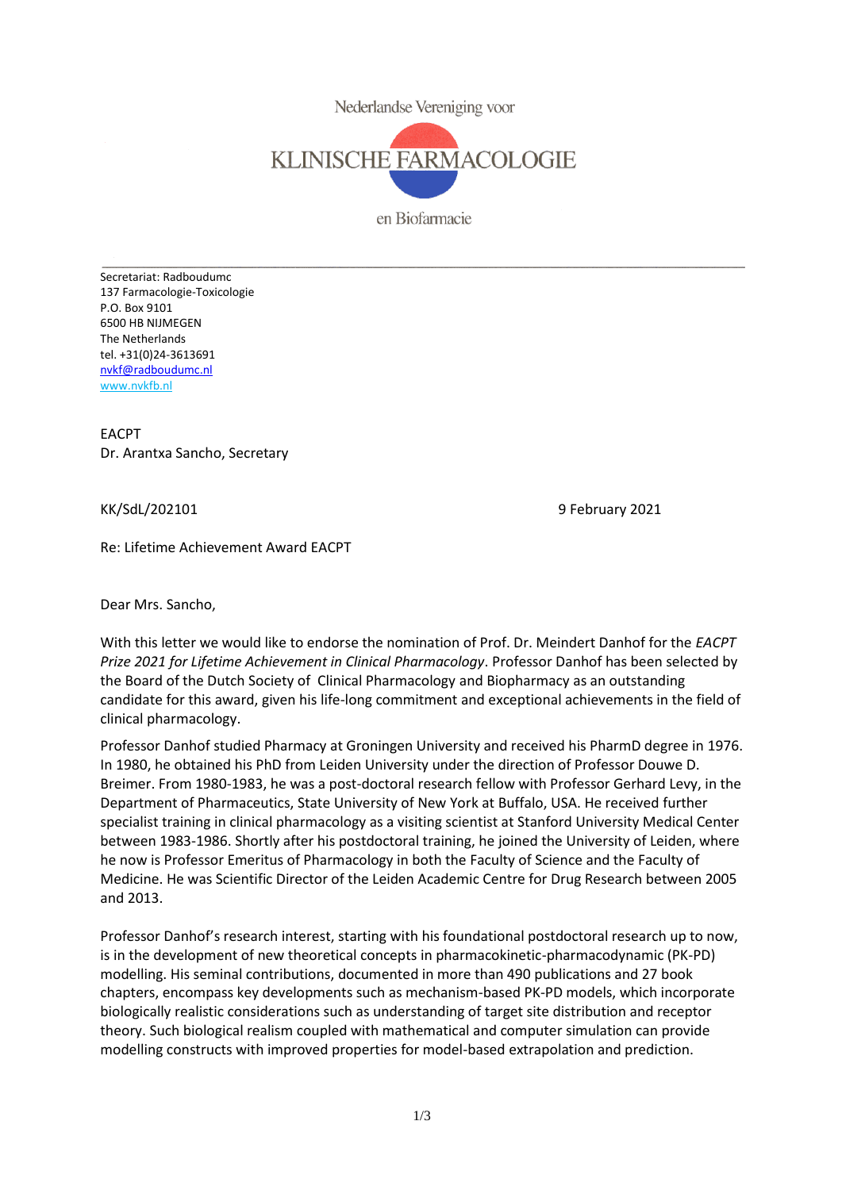

en Biofarmacie

Secretariat: Radboudumc 137 Farmacologie-Toxicologie P.O. Box 9101 6500 HB NIJMEGEN The Netherlands tel. +31(0)24-3613691 [nvkf@radboudumc.nl](mailto:nvkf@radboudumc.nl) [www.nvkfb.nl](http://www.nvkfb.nl/)

EACPT Dr. Arantxa Sancho, Secretary

KK/SdL/202101 9 February 2021

Re: Lifetime Achievement Award EACPT

Dear Mrs. Sancho,

With this letter we would like to endorse the nomination of Prof. Dr. Meindert Danhof for the *EACPT Prize 2021 for Lifetime Achievement in Clinical Pharmacology*. Professor Danhof has been selected by the Board of the Dutch Society of Clinical Pharmacology and Biopharmacy as an outstanding candidate for this award, given his life-long commitment and exceptional achievements in the field of clinical pharmacology.

Professor Danhof studied Pharmacy at Groningen University and received his PharmD degree in 1976. In 1980, he obtained his PhD from Leiden University under the direction of Professor Douwe D. Breimer. From 1980-1983, he was a post-doctoral research fellow with Professor Gerhard Levy, in the Department of Pharmaceutics, State University of New York at Buffalo, USA. He received further specialist training in clinical pharmacology as a visiting scientist at Stanford University Medical Center between 1983-1986. Shortly after his postdoctoral training, he joined the University of Leiden, where he now is Professor Emeritus of Pharmacology in both the Faculty of Science and the Faculty of Medicine. He was Scientific Director of the Leiden Academic Centre for Drug Research between 2005 and 2013.

Professor Danhof's research interest, starting with his foundational postdoctoral research up to now, is in the development of new theoretical concepts in pharmacokinetic-pharmacodynamic (PK-PD) modelling. His seminal contributions, documented in more than 490 publications and 27 book chapters, encompass key developments such as mechanism-based PK-PD models, which incorporate biologically realistic considerations such as understanding of target site distribution and receptor theory. Such biological realism coupled with mathematical and computer simulation can provide modelling constructs with improved properties for model-based extrapolation and prediction.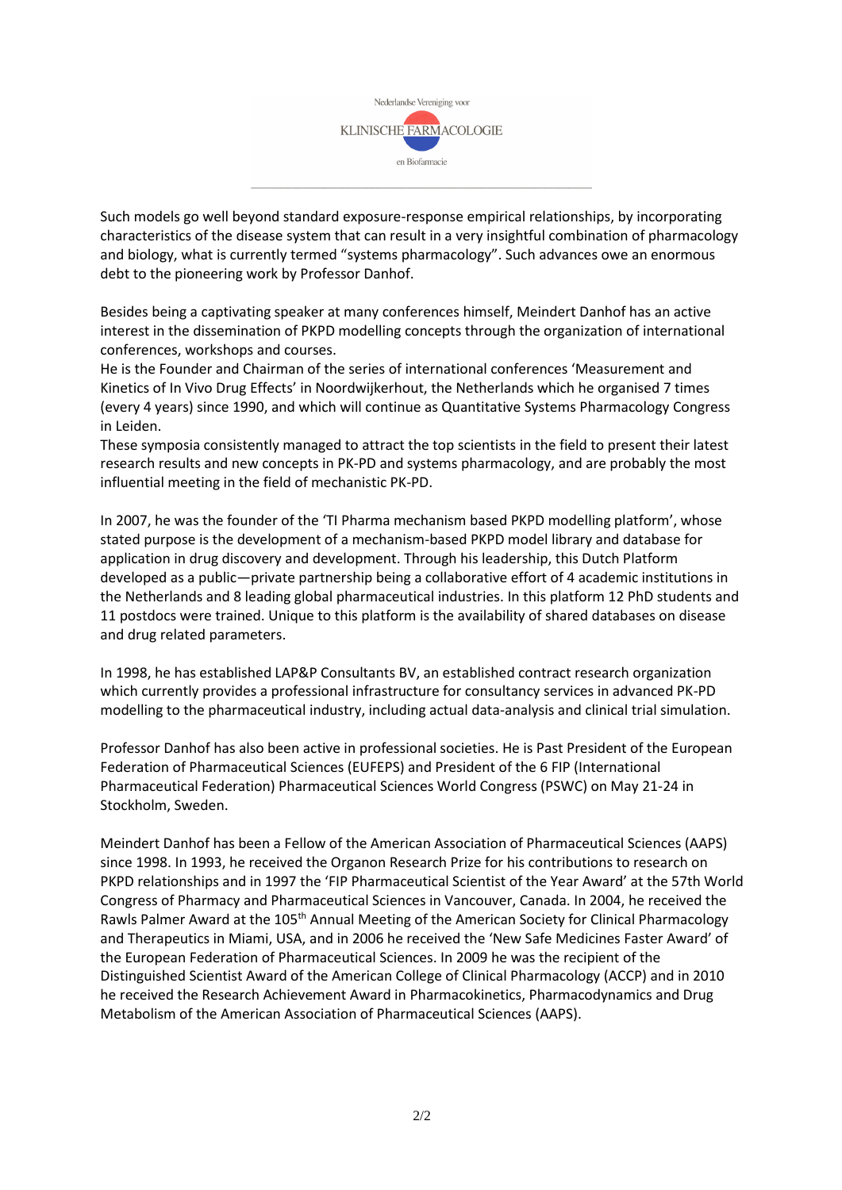

Such models go well beyond standard exposure-response empirical relationships, by incorporating characteristics of the disease system that can result in a very insightful combination of pharmacology and biology, what is currently termed "systems pharmacology". Such advances owe an enormous debt to the pioneering work by Professor Danhof.

Besides being a captivating speaker at many conferences himself, Meindert Danhof has an active interest in the dissemination of PKPD modelling concepts through the organization of international conferences, workshops and courses.

He is the Founder and Chairman of the series of international conferences 'Measurement and Kinetics of In Vivo Drug Effects' in Noordwijkerhout, the Netherlands which he organised 7 times (every 4 years) since 1990, and which will continue as Quantitative Systems Pharmacology Congress in Leiden.

These symposia consistently managed to attract the top scientists in the field to present their latest research results and new concepts in PK-PD and systems pharmacology, and are probably the most influential meeting in the field of mechanistic PK-PD.

In 2007, he was the founder of the 'TI Pharma mechanism based PKPD modelling platform', whose stated purpose is the development of a mechanism-based PKPD model library and database for application in drug discovery and development. Through his leadership, this Dutch Platform developed as a public—private partnership being a collaborative effort of 4 academic institutions in the Netherlands and 8 leading global pharmaceutical industries. In this platform 12 PhD students and 11 postdocs were trained. Unique to this platform is the availability of shared databases on disease and drug related parameters.

In 1998, he has established LAP&P Consultants BV, an established contract research organization which currently provides a professional infrastructure for consultancy services in advanced PK-PD modelling to the pharmaceutical industry, including actual data-analysis and clinical trial simulation.

Professor Danhof has also been active in professional societies. He is Past President of the European Federation of Pharmaceutical Sciences (EUFEPS) and President of the 6 FIP (International Pharmaceutical Federation) Pharmaceutical Sciences World Congress (PSWC) on May 21-24 in Stockholm, Sweden.

Meindert Danhof has been a Fellow of the American Association of Pharmaceutical Sciences (AAPS) since 1998. In 1993, he received the Organon Research Prize for his contributions to research on PKPD relationships and in 1997 the 'FIP Pharmaceutical Scientist of the Year Award' at the 57th World Congress of Pharmacy and Pharmaceutical Sciences in Vancouver, Canada. In 2004, he received the Rawls Palmer Award at the 105<sup>th</sup> Annual Meeting of the American Society for Clinical Pharmacology and Therapeutics in Miami, USA, and in 2006 he received the 'New Safe Medicines Faster Award' of the European Federation of Pharmaceutical Sciences. In 2009 he was the recipient of the Distinguished Scientist Award of the American College of Clinical Pharmacology (ACCP) and in 2010 he received the Research Achievement Award in Pharmacokinetics, Pharmacodynamics and Drug Metabolism of the American Association of Pharmaceutical Sciences (AAPS).